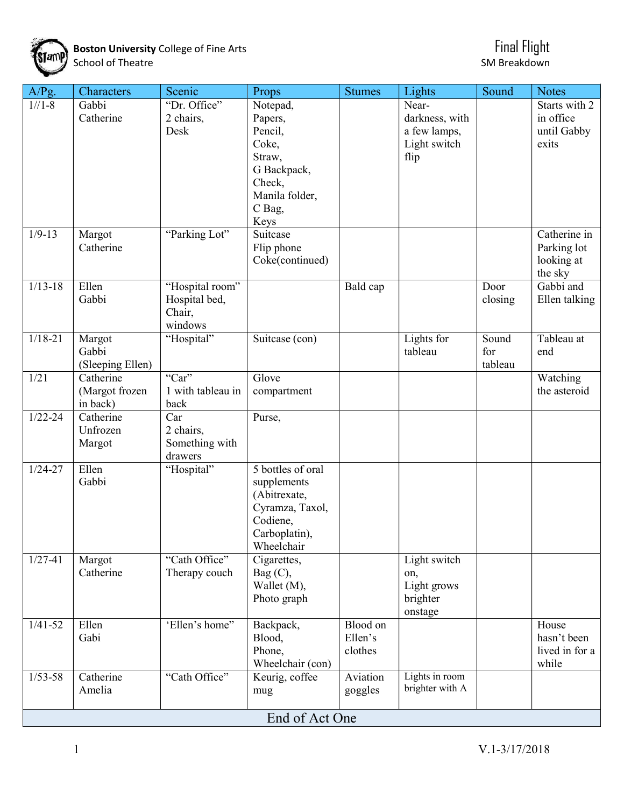

Boston University College of Fine Arts Final Flight States of Arts Final Flight School of Theatre School of Theatre SM Breakdown SM Breakdown

| A/Pg.       | Characters                    | Scenic            | Props                            | <b>Stumes</b> | Lights                            | Sound   | <b>Notes</b>         |  |  |  |  |  |
|-------------|-------------------------------|-------------------|----------------------------------|---------------|-----------------------------------|---------|----------------------|--|--|--|--|--|
| $1//1-8$    | Gabbi                         | "Dr. Office"      | Notepad,                         |               | Near-                             |         | Starts with 2        |  |  |  |  |  |
|             | Catherine                     | 2 chairs,         | Papers,                          |               | darkness, with                    |         | in office            |  |  |  |  |  |
|             |                               | Desk              | Pencil,                          |               | a few lamps,                      |         | until Gabby          |  |  |  |  |  |
|             |                               |                   | Coke,                            |               | Light switch                      |         | exits                |  |  |  |  |  |
|             |                               |                   | Straw,<br>G Backpack,            |               | flip                              |         |                      |  |  |  |  |  |
|             |                               |                   | Check,                           |               |                                   |         |                      |  |  |  |  |  |
|             |                               |                   | Manila folder,                   |               |                                   |         |                      |  |  |  |  |  |
|             |                               |                   | C Bag,                           |               |                                   |         |                      |  |  |  |  |  |
|             |                               |                   | Keys                             |               |                                   |         |                      |  |  |  |  |  |
| $1/9 - 13$  | Margot                        | "Parking Lot"     | Suitcase                         |               |                                   |         | Catherine in         |  |  |  |  |  |
|             | Catherine                     |                   | Flip phone                       |               |                                   |         | Parking lot          |  |  |  |  |  |
|             |                               |                   | Coke(continued)                  |               |                                   |         | looking at           |  |  |  |  |  |
| $1/13 - 18$ | Ellen                         | "Hospital room"   |                                  | Bald cap      |                                   | Door    | the sky<br>Gabbi and |  |  |  |  |  |
|             | Gabbi                         | Hospital bed,     |                                  |               |                                   | closing | Ellen talking        |  |  |  |  |  |
|             |                               | Chair,            |                                  |               |                                   |         |                      |  |  |  |  |  |
|             |                               | windows           |                                  |               |                                   |         |                      |  |  |  |  |  |
| $1/18 - 21$ | Margot                        | "Hospital"        | Suitcase (con)                   |               | Lights for                        | Sound   | Tableau at           |  |  |  |  |  |
|             | Gabbi                         |                   |                                  |               | tableau                           | for     | end                  |  |  |  |  |  |
| 1/21        | (Sleeping Ellen)<br>Catherine | "Car"             | Glove                            |               |                                   | tableau | Watching             |  |  |  |  |  |
|             | (Margot frozen                | 1 with tableau in | compartment                      |               |                                   |         | the asteroid         |  |  |  |  |  |
|             | in back)                      | back              |                                  |               |                                   |         |                      |  |  |  |  |  |
| $1/22 - 24$ | Catherine                     | Car               | Purse,                           |               |                                   |         |                      |  |  |  |  |  |
|             | Unfrozen                      | 2 chairs,         |                                  |               |                                   |         |                      |  |  |  |  |  |
|             | Margot                        | Something with    |                                  |               |                                   |         |                      |  |  |  |  |  |
|             |                               | drawers           |                                  |               |                                   |         |                      |  |  |  |  |  |
| $1/24 - 27$ | Ellen<br>Gabbi                | "Hospital"        | 5 bottles of oral<br>supplements |               |                                   |         |                      |  |  |  |  |  |
|             |                               |                   | (Abitrexate,                     |               |                                   |         |                      |  |  |  |  |  |
|             |                               |                   | Cyramza, Taxol,                  |               |                                   |         |                      |  |  |  |  |  |
|             |                               |                   | Codiene,                         |               |                                   |         |                      |  |  |  |  |  |
|             |                               |                   | Carboplatin),                    |               |                                   |         |                      |  |  |  |  |  |
|             |                               |                   | Wheelchair                       |               |                                   |         |                      |  |  |  |  |  |
| $1/27 - 41$ | Margot                        | "Cath Office"     | Cigarettes,                      |               | Light switch                      |         |                      |  |  |  |  |  |
|             | Catherine                     | Therapy couch     | Bag(C),<br>Wallet (M),           |               | on,<br>Light grows                |         |                      |  |  |  |  |  |
|             |                               |                   | Photo graph                      |               | brighter                          |         |                      |  |  |  |  |  |
|             |                               |                   |                                  |               | onstage                           |         |                      |  |  |  |  |  |
| $1/41 - 52$ | Ellen                         | 'Ellen's home"    | Backpack,                        | Blood on      |                                   |         | House                |  |  |  |  |  |
|             | Gabi                          |                   | Blood,                           | Ellen's       |                                   |         | hasn't been          |  |  |  |  |  |
|             |                               |                   | Phone,                           | clothes       |                                   |         | lived in for a       |  |  |  |  |  |
|             |                               |                   | Wheelchair (con)                 |               |                                   |         | while                |  |  |  |  |  |
| $1/53 - 58$ | Catherine                     | "Cath Office"     | Keurig, coffee                   | Aviation      | Lights in room<br>brighter with A |         |                      |  |  |  |  |  |
|             | Amelia                        |                   | mug                              | goggles       |                                   |         |                      |  |  |  |  |  |
|             | End of Act One                |                   |                                  |               |                                   |         |                      |  |  |  |  |  |